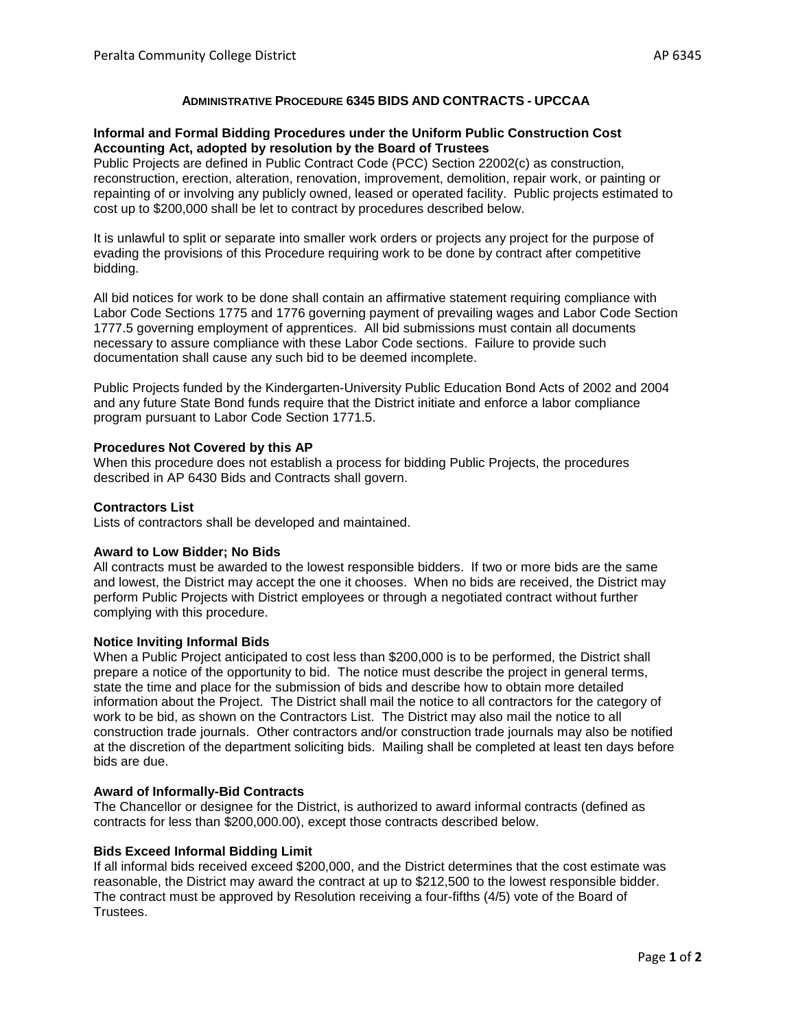# **ADMINISTRATIVE PROCEDURE 6345 BIDS AND CONTRACTS - UPCCAA**

## **Informal and Formal Bidding Procedures under the Uniform Public Construction Cost Accounting Act, adopted by resolution by the Board of Trustees**

Public Projects are defined in Public Contract Code (PCC) Section 22002(c) as construction, reconstruction, erection, alteration, renovation, improvement, demolition, repair work, or painting or repainting of or involving any publicly owned, leased or operated facility. Public projects estimated to cost up to \$200,000 shall be let to contract by procedures described below.

It is unlawful to split or separate into smaller work orders or projects any project for the purpose of evading the provisions of this Procedure requiring work to be done by contract after competitive bidding.

All bid notices for work to be done shall contain an affirmative statement requiring compliance with Labor Code Sections 1775 and 1776 governing payment of prevailing wages and Labor Code Section 1777.5 governing employment of apprentices. All bid submissions must contain all documents necessary to assure compliance with these Labor Code sections. Failure to provide such documentation shall cause any such bid to be deemed incomplete.

Public Projects funded by the Kindergarten-University Public Education Bond Acts of 2002 and 2004 and any future State Bond funds require that the District initiate and enforce a labor compliance program pursuant to Labor Code Section 1771.5.

### **Procedures Not Covered by this AP**

When this procedure does not establish a process for bidding Public Projects, the procedures described in AP 6430 Bids and Contracts shall govern.

### **Contractors List**

Lists of contractors shall be developed and maintained.

#### **Award to Low Bidder; No Bids**

All contracts must be awarded to the lowest responsible bidders. If two or more bids are the same and lowest, the District may accept the one it chooses. When no bids are received, the District may perform Public Projects with District employees or through a negotiated contract without further complying with this procedure.

#### **Notice Inviting Informal Bids**

When a Public Project anticipated to cost less than \$200,000 is to be performed, the District shall prepare a notice of the opportunity to bid. The notice must describe the project in general terms, state the time and place for the submission of bids and describe how to obtain more detailed information about the Project. The District shall mail the notice to all contractors for the category of work to be bid, as shown on the Contractors List. The District may also mail the notice to all construction trade journals. Other contractors and/or construction trade journals may also be notified at the discretion of the department soliciting bids. Mailing shall be completed at least ten days before bids are due.

#### **Award of Informally-Bid Contracts**

The Chancellor or designee for the District, is authorized to award informal contracts (defined as contracts for less than \$200,000.00), except those contracts described below.

#### **Bids Exceed Informal Bidding Limit**

If all informal bids received exceed \$200,000, and the District determines that the cost estimate was reasonable, the District may award the contract at up to \$212,500 to the lowest responsible bidder. The contract must be approved by Resolution receiving a four-fifths (4/5) vote of the Board of Trustees.